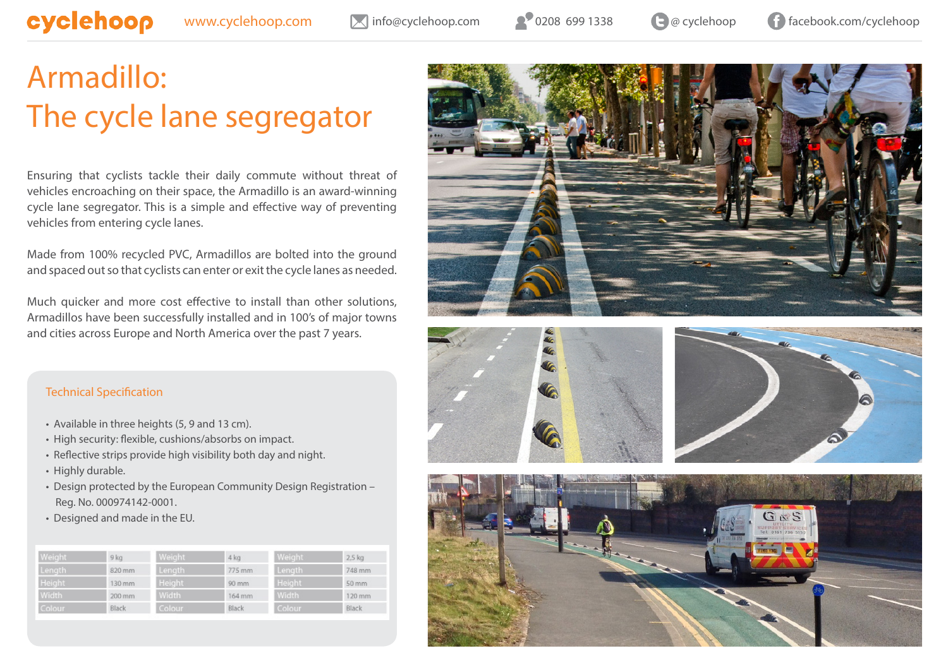[www.cyclehoop.com](http://www.cyclehoop.com/) M[info@cyclehoop.com](mailto:info%40cyclehoop.com?subject=Enquiry) 0208 699 1338 and 0 a cyclehoop [facebook.com/cyclehoop](https://www.facebook.com/Cyclehoop)

## [Armadillo:](http://www.cyclehoop.com/product/cycle-lane-safety/armadillos/) [The cycle lane segregator](http://www.cyclehoop.com/product/cycle-lane-safety/armadillos/)

Ensuring that cyclists tackle their daily commute without threat of vehicles encroaching on their space, the Armadillo is an award-winning cycle lane segregator. This is a simple and effective way of preventing vehicles from entering cycle lanes.

Made from 100% recycled PVC, Armadillos are bolted into the ground and spaced out so that cyclists can enter or exit the cycle lanes as needed.

Much quicker and more cost effective to install than other solutions, Armadillos have been successfully installed and in 100's of major towns and cities across Europe and North America over the past 7 years.









## Technical Specification

- Available in three heights (5, 9 and 13 cm).
- High security: flexible, cushions/absorbs on impact.
- Reflective strips provide high visibility both day and night.
- Highly durable.
- Design protected by the European Community Design Registration Reg. No. 000974142-0001.
- Designed and made in the EU.

| Weight        | 9 <sub>ka</sub> | Weight | $4$ kg | <b>Weight</b> | 2.5 kg              |
|---------------|-----------------|--------|--------|---------------|---------------------|
| Length        | 820 mm          | Length | 775 mm | Length        | 748 mm              |
| <b>Height</b> | 130 mm          | Height | 90 mm  | Height        | $50 \, \mathrm{mm}$ |
| Width         | 200 mm          | Width  | 164 mm | Width         | 120 mm              |
| Colour.       | Black           | Colour | Black  | Colour        | Black               |